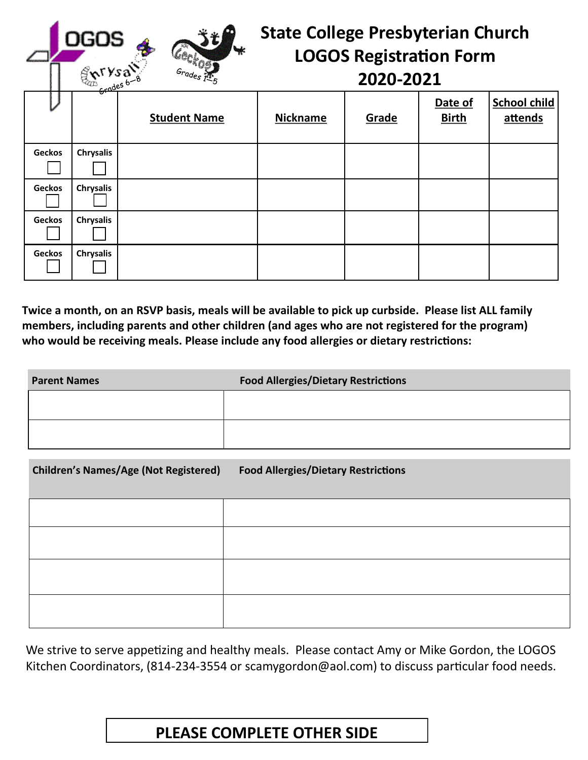| <b>OGOS</b><br>ENTYSal<br>Geckos. |                  |                     | <b>State College Presbyterian Church</b><br><b>LOGOS Registration Form</b><br>2020-2021 |       |                         |                                |
|-----------------------------------|------------------|---------------------|-----------------------------------------------------------------------------------------|-------|-------------------------|--------------------------------|
|                                   |                  | <b>Student Name</b> | <b>Nickname</b>                                                                         | Grade | Date of<br><b>Birth</b> | <b>School child</b><br>attends |
| Geckos                            | <b>Chrysalis</b> |                     |                                                                                         |       |                         |                                |
| <b>Geckos</b>                     | <b>Chrysalis</b> |                     |                                                                                         |       |                         |                                |
| <b>Geckos</b>                     | <b>Chrysalis</b> |                     |                                                                                         |       |                         |                                |
| <b>Geckos</b>                     | <b>Chrysalis</b> |                     |                                                                                         |       |                         |                                |

**Twice a month, on an RSVP basis, meals will be available to pick up curbside. Please list ALL family members, including parents and other children (and ages who are not registered for the program) who would be receiving meals. Please include any food allergies or dietary restrictions:**

| <b>Parent Names</b> | <b>Food Allergies/Dietary Restrictions</b> |
|---------------------|--------------------------------------------|
|                     |                                            |
|                     |                                            |
|                     |                                            |

| <b>Children's Names/Age (Not Registered)</b> | <b>Food Allergies/Dietary Restrictions</b> |
|----------------------------------------------|--------------------------------------------|
|                                              |                                            |
|                                              |                                            |
|                                              |                                            |
|                                              |                                            |

We strive to serve appetizing and healthy meals. Please contact Amy or Mike Gordon, the LOGOS Kitchen Coordinators, (814-234-3554 or scamygordon@aol.com) to discuss particular food needs.

## **PLEASE COMPLETE OTHER SIDE**